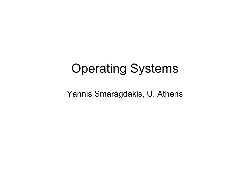### Operating Systems

Yannis Smaragdakis, U. Athens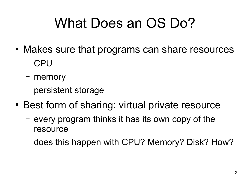# What Does an OS Do?

- Makes sure that programs can share resources
	- CPU
	- memory
	- persistent storage
- Best form of sharing: virtual private resource
	- every program thinks it has its own copy of the resource
	- does this happen with CPU? Memory? Disk? How?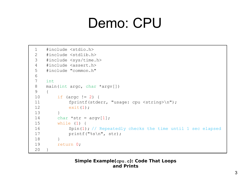### Demo: CPU

```
1 #include <stdio.h>
1 #include <stdio.h>
2 #include <stdlib.h>
2 #include <stdlib.h>
3 #include <sys/time.h>
3 #include <sys/time.h>
4 #include <assert.h>
4 #include <assert.h>
5 #include "common.h"
5 #include "common.h"
6
6
7 int
7 int
8 main(int argc, char *argv[])
8 main(int argc, char *argv[])
9 {
9 {
10 if (argc != 2) {
10 if (argc != 2) {
11 fprintf(stderr, "usage: cpu <string>\n");
11 fprintf(stderr, "usage: cpu <string>\n");
12 exit(1);
12 exit(1);
13 }
13 }
14 char *str = argv[1];
15 while (1) {
15 while (1) {
16 Spin(1); // Repeatedly checks the time until 1 sec elapsed
16 Spin(1); // Repeatedly checks the time until 1 sec elapsed
17 printf("%s\n", str);
17 printf("%s\n", str);
18 }
18 }
19 return 0;
19 return 0;
20 }
20 }
```
#### **Simple Example(cpu.c): Code That Loops and Prints**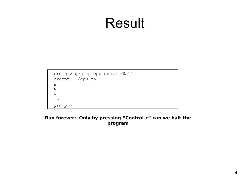### Result

```
prompt> gcc -o cpu cpu.c -Wall
prompt> gcc -o cpu cpu.c -Wall
prompt> ./cpu "A"
prompt> ./cpu "A"
A
A
A
A
A
A
\hat{C}prompt>
prompt>
```
### **Run forever; Only by pressing "Control-c" can we halt the program**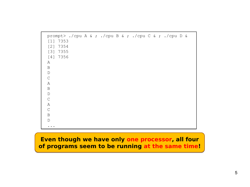| [1]<br>[2]<br>[3]<br>[4] 7356<br>Α<br>B<br>$\mathbb D$<br>$\mathsf C$<br>Α<br>B | prompt> ./cpu A & ; ./cpu B & ; ./cpu C & ; ./cpu D &<br>7353<br>7354<br>7355 |  |  |  |  |  |  |
|---------------------------------------------------------------------------------|-------------------------------------------------------------------------------|--|--|--|--|--|--|
| $\mathbb D$                                                                     |                                                                               |  |  |  |  |  |  |
| $\mathsf C$                                                                     |                                                                               |  |  |  |  |  |  |
| Α                                                                               |                                                                               |  |  |  |  |  |  |
| $\mathsf{C}$                                                                    |                                                                               |  |  |  |  |  |  |
| B                                                                               |                                                                               |  |  |  |  |  |  |
| $\mathbb D$                                                                     |                                                                               |  |  |  |  |  |  |
|                                                                                 |                                                                               |  |  |  |  |  |  |

### **Even though we have only one processor, all four Even though we have only one processor, all four of programs seem to be running at the same time! of programs seem to be running at the same time!**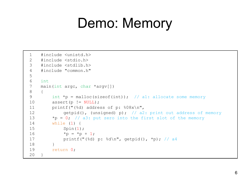### Demo: Memory

```
1 #include <unistd.h>
1 #include <unistd.h>
2 #include <stdio.h>
2 #include <stdio.h>
3 #include <stdlib.h>
3 #include <stdlib.h>
4 #include "common.h"
4 #include "common.h"
5
5
6 int
6 int
7 main(int argc, char *argv[])
7 main(int argc, char *argv[])
8 {
8 {
9 int *p = malloc(sizeof(int)); // a1: allocate some memory
9 int *p = malloc(sizeof(int)); // a1: allocate some memory
10 assert(p != NULL);
10 assert(p != NULL);
11 printf("(\text{\textdegree} d) address of p: \text{\textdegree} 08x\text{\textdegree} n",
12 compress of memory (unsigned) p); // a2: print out address of memory
13 *p = 0; // a3: put zero into the first slot of the memory
13 *p = 0; // a3: put zero into the first slot of the memory
14 while (1) {
14 while (1) {
15 Spin(1);
15 Spin(1);
16 *_{p} = *_{p} + 1;17 printf("(%d) p: %d\n", getpid(), *p); // a4
17 printf("(%d) p: %d\n", getpid(), *p); // a4
18 }
18 }
19 return 0;
19 return 0;
20 }
20 }
```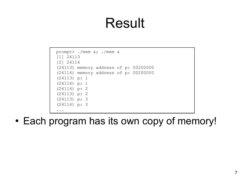### Result

```
prompt> ./mem &; ./mem &
prompt> ./mem &; ./mem &
[1] 24113
[1] 24113
[2] 24114
[2] 24114
(24113) memory address of p: 00200000
(24113) memory address of p: 00200000
(24114) memory address of p: 00200000
(24114) memory address of p: 00200000
(24113) p: 1
(24113) p: 1
(24114) p: 1
(24114) p: 1
(24114) p: 2
(24114) p: 2
(24113) p: 2
(24113) p: 2
(24113) p: 3
(24113) p: 3
(24114) p: 3
(24114) p: 3
...
...
```
• Each program has its own copy of memory!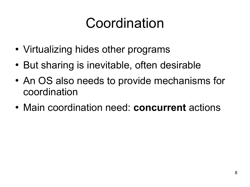## Coordination

- Virtualizing hides other programs
- But sharing is inevitable, often desirable
- An OS also needs to provide mechanisms for coordination
- Main coordination need: **concurrent** actions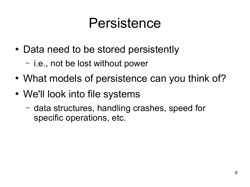### Persistence

- Data need to be stored persistently
	- i.e., not be lost without power
- What models of persistence can you think of?
- We'll look into file systems
	- data structures, handling crashes, speed for specific operations, etc.